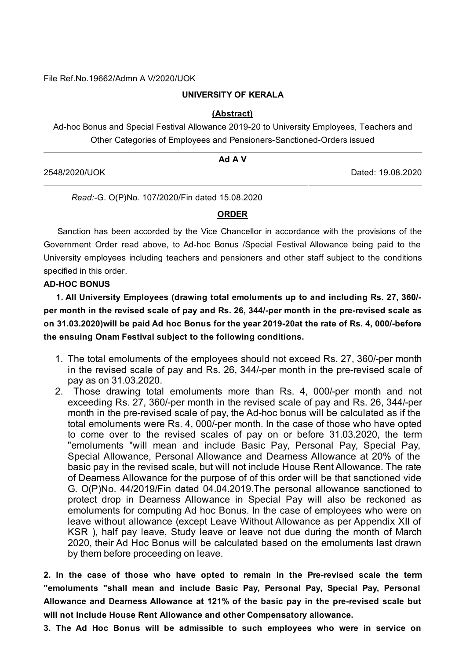File Ref.No.19662/Admn A V/2020/UOK

### **UNIVERSITY OF KERALA**

#### **(Abstract)**

Ad-hoc Bonus and Special Festival Allowance 2019-20 to University Employees, Teachers and Other Categories of Employees and Pensioners-Sanctioned-Orders issued

|               | Ad A V            |  |
|---------------|-------------------|--|
| 2548/2020/UOK | Dated: 19.08.2020 |  |

*Read:-*G. O(P)No. 107/2020/Fin dated 15.08.2020

#### **ORDER**

Sanction has been accorded by the Vice Chancellor in accordance with the provisions of the Government Order read above, to Ad-hoc Bonus /Special Festival Allowance being paid to the University employees including teachers and pensioners and other staff subject to the conditions specified in this order.

#### **AD-HOC BONUS**

**1. All University Employees (drawing total emoluments up to and including Rs. 27, 360/ per month in the revised scale of pay and Rs. 26, 344/-per month in the pre-revised scale as on 31.03.2020)will be paid Ad hoc Bonus for the year 2019-20at the rate of Rs. 4, 000/-before the ensuing Onam Festival subject to the following conditions.**

- 1. The total emoluments of the employees should not exceed Rs. 27, 360/-per month in the revised scale of pay and Rs. 26, 344/-per month in the pre-revised scale of pay as on 31.03.2020.
- 2. Those drawing total emoluments more than Rs. 4, 000/-per month and not exceeding Rs. 27, 360/-per month in the revised scale of pay and Rs. 26, 344/-per month in the pre-revised scale of pay, the Ad-hoc bonus will be calculated as if the total emoluments were Rs. 4, 000/-per month. In the case of those who have opted to come over to the revised scales of pay on or before 31.03.2020, the term "emoluments "will mean and include Basic Pay, Personal Pay, Special Pay, Special Allowance, Personal Allowance and Dearness Allowance at 20% of the basic pay in the revised scale, but will not include House Rent Allowance. The rate of Dearness Allowance for the purpose of of this order will be that sanctioned vide G. O(P)No. 44/2019/Fin dated 04.04.2019.The personal allowance sanctioned to protect drop in Dearness Allowance in Special Pay will also be reckoned as emoluments for computing Ad hoc Bonus. In the case of employees who were on leave without allowance (except Leave Without Allowance as per Appendix XII of KSR ), half pay leave, Study leave or leave not due during the month of March 2020, their Ad Hoc Bonus will be calculated based on the emoluments last drawn by them before proceeding on leave.

**2. In the case of those who have opted to remain in the Pre-revised scale the term "emoluments "shall mean and include Basic Pay, Personal Pay, Special Pay, Personal Allowance and Dearness Allowance at 121% of the basic pay in the pre-revised scale but will not include House Rent Allowance and other Compensatory allowance.**

**3. The Ad Hoc Bonus will be admissible to such employees who were in service on**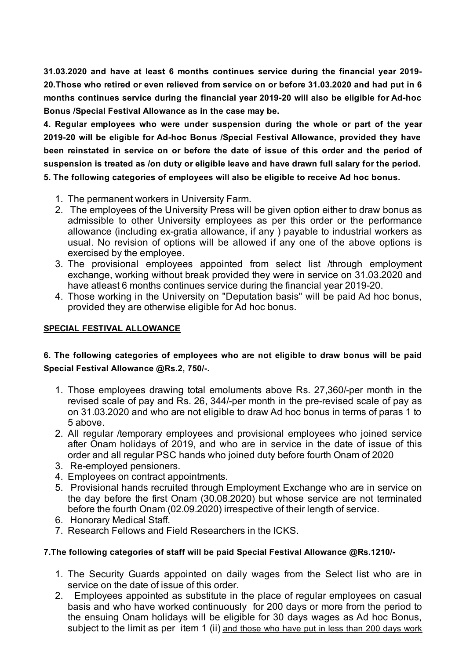**31.03.2020 and have at least 6 months continues service during the financial year 2019- 20.Those who retired or even relieved from service on or before 31.03.2020 and had put in 6 months continues service during the financial year 2019-20 will also be eligible for Ad-hoc Bonus /Special Festival Allowance as in the case may be.**

**4. Regular employees who were under suspension during the whole or part of the year 2019-20 will be eligible for Ad-hoc Bonus /Special Festival Allowance, provided they have been reinstated in service on or before the date of issue of this order and the period of suspension is treated as /on duty or eligible leave and have drawn full salary for the period. 5. The following categories of employees will also be eligible to receive Ad hoc bonus.**

- 1. The permanent workers in University Farm.
- 2. The employees of the University Press will be given option either to draw bonus as admissible to other University employees as per this order or the performance allowance (including ex-gratia allowance, if any ) payable to industrial workers as usual. No revision of options will be allowed if any one of the above options is exercised by the employee.
- 3. The provisional employees appointed from select list /through employment exchange, working without break provided they were in service on 31.03.2020 and have atleast 6 months continues service during the financial year 2019-20.
- 4. Those working in the University on "Deputation basis" will be paid Ad hoc bonus, provided they are otherwise eligible for Ad hoc bonus.

## **SPECIAL FESTIVAL ALLOWANCE**

## **6. The following categories of employees who are not eligible to draw bonus will be paid Special Festival Allowance @Rs.2, 750/-.**

- 1. Those employees drawing total emoluments above Rs. 27,360/-per month in the revised scale of pay and Rs. 26, 344/-per month in the pre-revised scale of pay as on 31.03.2020 and who are not eligible to draw Ad hoc bonus in terms of paras 1 to 5 above.
- 2. All regular /temporary employees and provisional employees who joined service after Onam holidays of 2019, and who are in service in the date of issue of this order and all regular PSC hands who joined duty before fourth Onam of 2020
- 3. Re-employed pensioners.
- 4. Employees on contract appointments.
- 5. Provisional hands recruited through Employment Exchange who are in service on the day before the first Onam (30.08.2020) but whose service are not terminated before the fourth Onam (02.09.2020) irrespective of their length of service.
- 6. Honorary Medical Staff.
- 7. Research Fellows and Field Researchers in the ICKS.

### **7.The following categories of staff will be paid Special Festival Allowance @Rs.1210/-**

- 1. The Security Guards appointed on daily wages from the Select list who are in service on the date of issue of this order.
- 2. Employees appointed as substitute in the place of regular employees on casual basis and who have worked continuously for 200 days or more from the period to the ensuing Onam holidays will be eligible for 30 days wages as Ad hoc Bonus, subiect to the limit as per item 1 (ii) and those who have put in less than 200 days work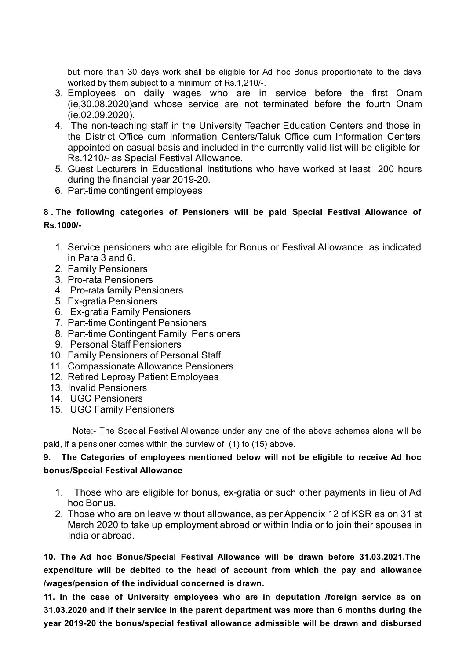but more than 30 days work shall be eligible for Ad hoc Bonus proportionate to the days worked by them subject to a minimum of Rs.1,210/-.

- 3. Employees on daily wages who are in service before the first Onam (ie,30.08.2020)and whose service are not terminated before the fourth Onam (ie,02.09.2020).
- 4. The non-teaching staff in the University Teacher Education Centers and those in the District Office cum Information Centers/Taluk Office cum Information Centers appointed on casual basis and included in the currently valid list will be eligible for Rs.1210/- as Special Festival Allowance.
- 5. Guest Lecturers in Educational Institutions who have worked at least 200 hours during the financial year 2019-20.
- 6. Part-time contingent employees

## **8 . The following categories of Pensioners will be paid Special Festival Allowance of Rs.1000/-**

- 1. Service pensioners who are eligible for Bonus or Festival Allowance as indicated in Para 3 and 6.
- 2. Family Pensioners
- 3. Pro-rata Pensioners
- 4. Pro-rata family Pensioners
- 5. Ex-gratia Pensioners
- 6. Ex-gratia Family Pensioners
- 7. Part-time Contingent Pensioners
- 8. Part-time Contingent Family Pensioners
- 9. Personal Staff Pensioners
- 10. Family Pensioners of Personal Staff
- 11. Compassionate Allowance Pensioners
- 12. Retired Leprosy Patient Employees
- 13. Invalid Pensioners
- 14. UGC Pensioners
- 15. UGC Family Pensioners

Note:- The Special Festival Allowance under any one of the above schemes alone will be paid, if a pensioner comes within the purview of (1) to (15) above.

# **9. The Categories of employees mentioned below will not be eligible to receive Ad hoc bonus/Special Festival Allowance**

- 1. Those who are eligible for bonus, ex-gratia or such other payments in lieu of Ad hoc Bonus,
- 2. Those who are on leave without allowance, as per Appendix 12 of KSR as on 31 st March 2020 to take up employment abroad or within India or to join their spouses in India or abroad.

**10. The Ad hoc Bonus/Special Festival Allowance will be drawn before 31.03.2021.The expenditure will be debited to the head of account from which the pay and allowance /wages/pension of the individual concerned is drawn.**

**11. In the case of University employees who are in deputation /foreign service as on 31.03.2020 and if their service in the parent department was more than 6 months during the year 2019-20 the bonus/special festival allowance admissible will be drawn and disbursed**